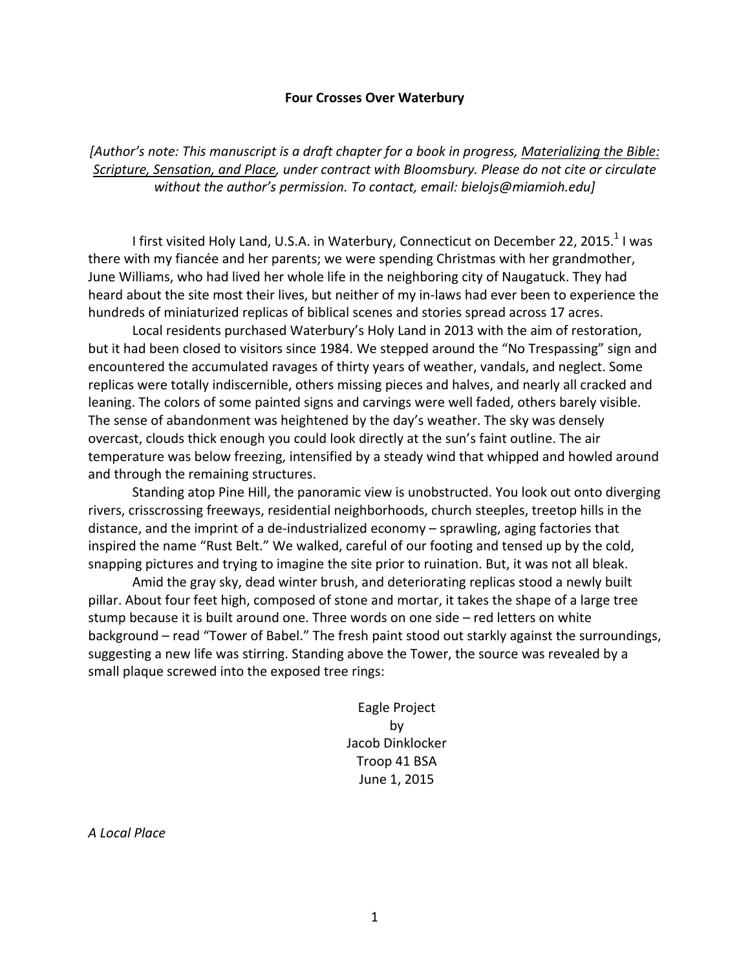### **Four Crosses Over Waterbury**

[Author's note: This manuscript is a draft chapter for a book in progress, Materializing the Bible: Scripture, Sensation, and Place, under contract with Bloomsbury. Please do not cite or circulate without the author's permission. To contact, email: bielojs@miamioh.edu]

I first visited Holy Land, U.S.A. in Waterbury, Connecticut on December 22, 2015.<sup>1</sup> I was there with my fiancée and her parents; we were spending Christmas with her grandmother, June Williams, who had lived her whole life in the neighboring city of Naugatuck. They had heard about the site most their lives, but neither of my in-laws had ever been to experience the hundreds of miniaturized replicas of biblical scenes and stories spread across 17 acres.

Local residents purchased Waterbury's Holy Land in 2013 with the aim of restoration, but it had been closed to visitors since 1984. We stepped around the "No Trespassing" sign and encountered the accumulated ravages of thirty years of weather, vandals, and neglect. Some replicas were totally indiscernible, others missing pieces and halves, and nearly all cracked and leaning. The colors of some painted signs and carvings were well faded, others barely visible. The sense of abandonment was heightened by the day's weather. The sky was densely overcast, clouds thick enough you could look directly at the sun's faint outline. The air temperature was below freezing, intensified by a steady wind that whipped and howled around and through the remaining structures.

Standing atop Pine Hill, the panoramic view is unobstructed. You look out onto diverging rivers, crisscrossing freeways, residential neighborhoods, church steeples, treetop hills in the distance, and the imprint of a de-industrialized economy – sprawling, aging factories that inspired the name "Rust Belt." We walked, careful of our footing and tensed up by the cold, snapping pictures and trying to imagine the site prior to ruination. But, it was not all bleak.

Amid the gray sky, dead winter brush, and deteriorating replicas stood a newly built pillar. About four feet high, composed of stone and mortar, it takes the shape of a large tree stump because it is built around one. Three words on one side – red letters on white background – read "Tower of Babel." The fresh paint stood out starkly against the surroundings, suggesting a new life was stirring. Standing above the Tower, the source was revealed by a small plaque screwed into the exposed tree rings:

> Eagle Project by Jacob Dinklocker Troop 41 BSA June 1, 2015

*A Local Place*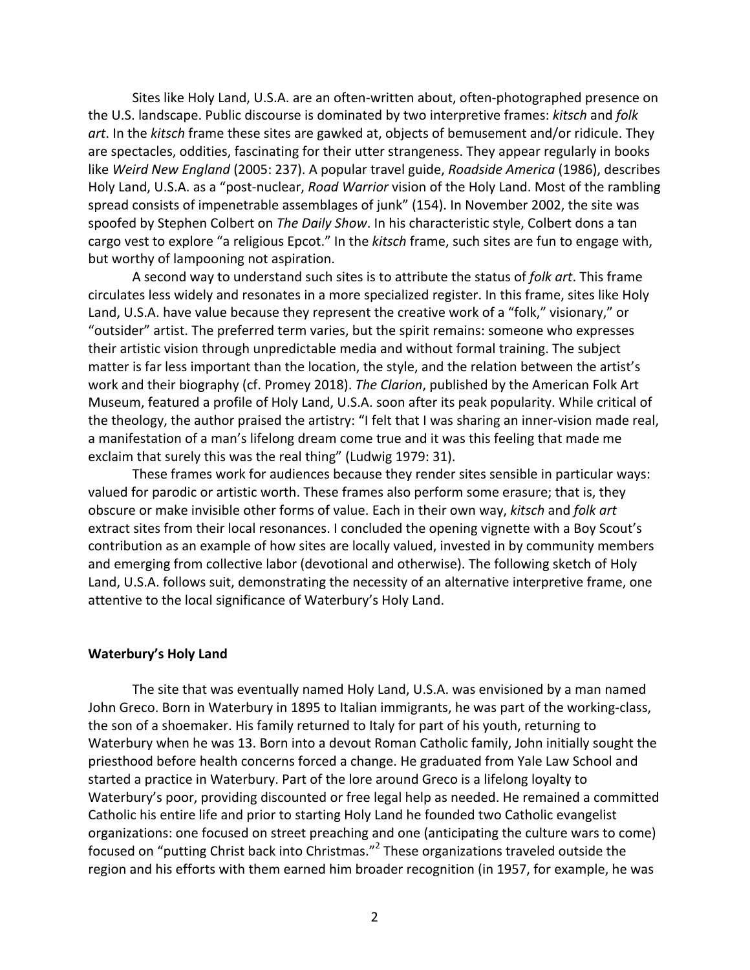Sites like Holy Land, U.S.A. are an often-written about, often-photographed presence on the U.S. landscape. Public discourse is dominated by two interpretive frames: *kitsch* and *folk* art. In the *kitsch* frame these sites are gawked at, objects of bemusement and/or ridicule. They are spectacles, oddities, fascinating for their utter strangeness. They appear regularly in books like Weird New *England* (2005: 237). A popular travel guide, *Roadside America* (1986), describes Holy Land, U.S.A. as a "post-nuclear, *Road Warrior* vision of the Holy Land. Most of the rambling spread consists of impenetrable assemblages of junk" (154). In November 2002, the site was spoofed by Stephen Colbert on *The Daily Show*. In his characteristic style, Colbert dons a tan cargo vest to explore "a religious Epcot." In the kitsch frame, such sites are fun to engage with, but worthy of lampooning not aspiration.

A second way to understand such sites is to attribute the status of *folk art*. This frame circulates less widely and resonates in a more specialized register. In this frame, sites like Holy Land, U.S.A. have value because they represent the creative work of a "folk," visionary," or "outsider" artist. The preferred term varies, but the spirit remains: someone who expresses their artistic vision through unpredictable media and without formal training. The subject matter is far less important than the location, the style, and the relation between the artist's work and their biography (cf. Promey 2018). *The Clarion*, published by the American Folk Art Museum, featured a profile of Holy Land, U.S.A. soon after its peak popularity. While critical of the theology, the author praised the artistry: "I felt that I was sharing an inner-vision made real, a manifestation of a man's lifelong dream come true and it was this feeling that made me exclaim that surely this was the real thing" (Ludwig 1979: 31).

These frames work for audiences because they render sites sensible in particular ways: valued for parodic or artistic worth. These frames also perform some erasure; that is, they obscure or make invisible other forms of value. Each in their own way, *kitsch* and *folk art* extract sites from their local resonances. I concluded the opening vignette with a Boy Scout's contribution as an example of how sites are locally valued, invested in by community members and emerging from collective labor (devotional and otherwise). The following sketch of Holy Land, U.S.A. follows suit, demonstrating the necessity of an alternative interpretive frame, one attentive to the local significance of Waterbury's Holy Land.

## **Waterbury's Holy Land**

The site that was eventually named Holy Land, U.S.A. was envisioned by a man named John Greco. Born in Waterbury in 1895 to Italian immigrants, he was part of the working-class, the son of a shoemaker. His family returned to Italy for part of his youth, returning to Waterbury when he was 13. Born into a devout Roman Catholic family, John initially sought the priesthood before health concerns forced a change. He graduated from Yale Law School and started a practice in Waterbury. Part of the lore around Greco is a lifelong loyalty to Waterbury's poor, providing discounted or free legal help as needed. He remained a committed Catholic his entire life and prior to starting Holy Land he founded two Catholic evangelist organizations: one focused on street preaching and one (anticipating the culture wars to come) focused on "putting Christ back into Christmas."<sup>2</sup> These organizations traveled outside the region and his efforts with them earned him broader recognition (in 1957, for example, he was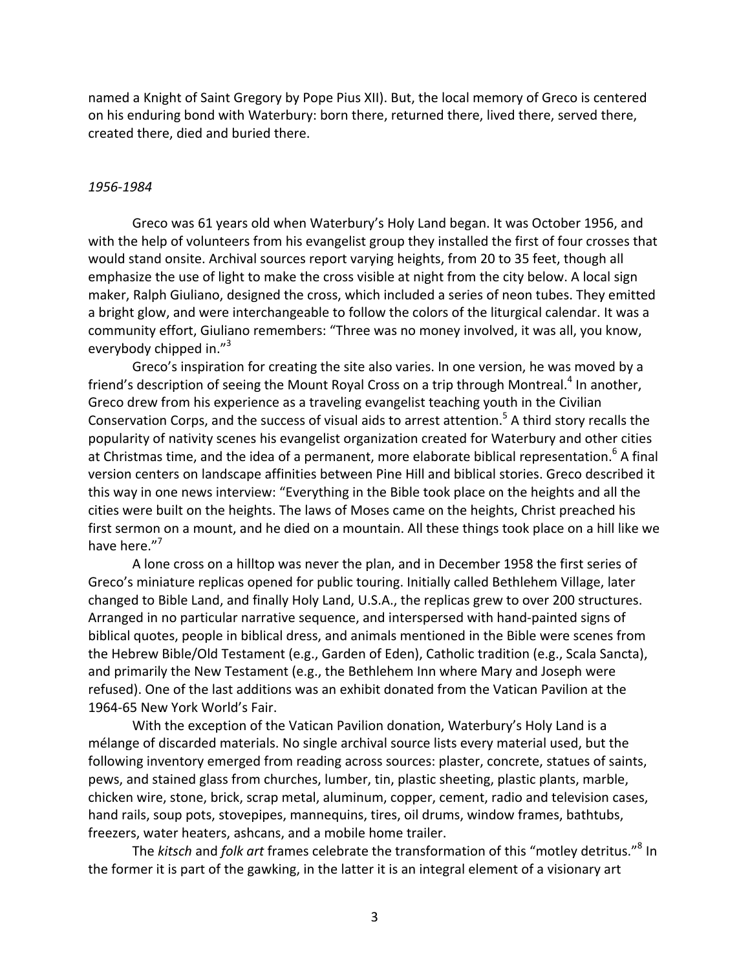named a Knight of Saint Gregory by Pope Pius XII). But, the local memory of Greco is centered on his enduring bond with Waterbury: born there, returned there, lived there, served there, created there, died and buried there.

#### *1956-1984*

Greco was 61 years old when Waterbury's Holy Land began. It was October 1956, and with the help of volunteers from his evangelist group they installed the first of four crosses that would stand onsite. Archival sources report varying heights, from 20 to 35 feet, though all emphasize the use of light to make the cross visible at night from the city below. A local sign maker, Ralph Giuliano, designed the cross, which included a series of neon tubes. They emitted a bright glow, and were interchangeable to follow the colors of the liturgical calendar. It was a community effort, Giuliano remembers: "Three was no money involved, it was all, you know, everybody chipped in. $"$ <sup>3</sup>

Greco's inspiration for creating the site also varies. In one version, he was moved by a friend's description of seeing the Mount Royal Cross on a trip through Montreal.<sup>4</sup> In another, Greco drew from his experience as a traveling evangelist teaching youth in the Civilian Conservation Corps, and the success of visual aids to arrest attention.<sup>5</sup> A third story recalls the popularity of nativity scenes his evangelist organization created for Waterbury and other cities at Christmas time, and the idea of a permanent, more elaborate biblical representation.<sup>6</sup> A final version centers on landscape affinities between Pine Hill and biblical stories. Greco described it this way in one news interview: "Everything in the Bible took place on the heights and all the cities were built on the heights. The laws of Moses came on the heights, Christ preached his first sermon on a mount, and he died on a mountain. All these things took place on a hill like we have here."<sup>7</sup>

A lone cross on a hilltop was never the plan, and in December 1958 the first series of Greco's miniature replicas opened for public touring. Initially called Bethlehem Village, later changed to Bible Land, and finally Holy Land, U.S.A., the replicas grew to over 200 structures. Arranged in no particular narrative sequence, and interspersed with hand-painted signs of biblical quotes, people in biblical dress, and animals mentioned in the Bible were scenes from the Hebrew Bible/Old Testament (e.g., Garden of Eden), Catholic tradition (e.g., Scala Sancta), and primarily the New Testament (e.g., the Bethlehem Inn where Mary and Joseph were refused). One of the last additions was an exhibit donated from the Vatican Pavilion at the 1964-65 New York World's Fair.

With the exception of the Vatican Pavilion donation, Waterbury's Holy Land is a mélange of discarded materials. No single archival source lists every material used, but the following inventory emerged from reading across sources: plaster, concrete, statues of saints, pews, and stained glass from churches, lumber, tin, plastic sheeting, plastic plants, marble, chicken wire, stone, brick, scrap metal, aluminum, copper, cement, radio and television cases, hand rails, soup pots, stovepipes, mannequins, tires, oil drums, window frames, bathtubs, freezers, water heaters, ashcans, and a mobile home trailer.

The *kitsch* and *folk art* frames celebrate the transformation of this "motley detritus."<sup>8</sup> In the former it is part of the gawking, in the latter it is an integral element of a visionary art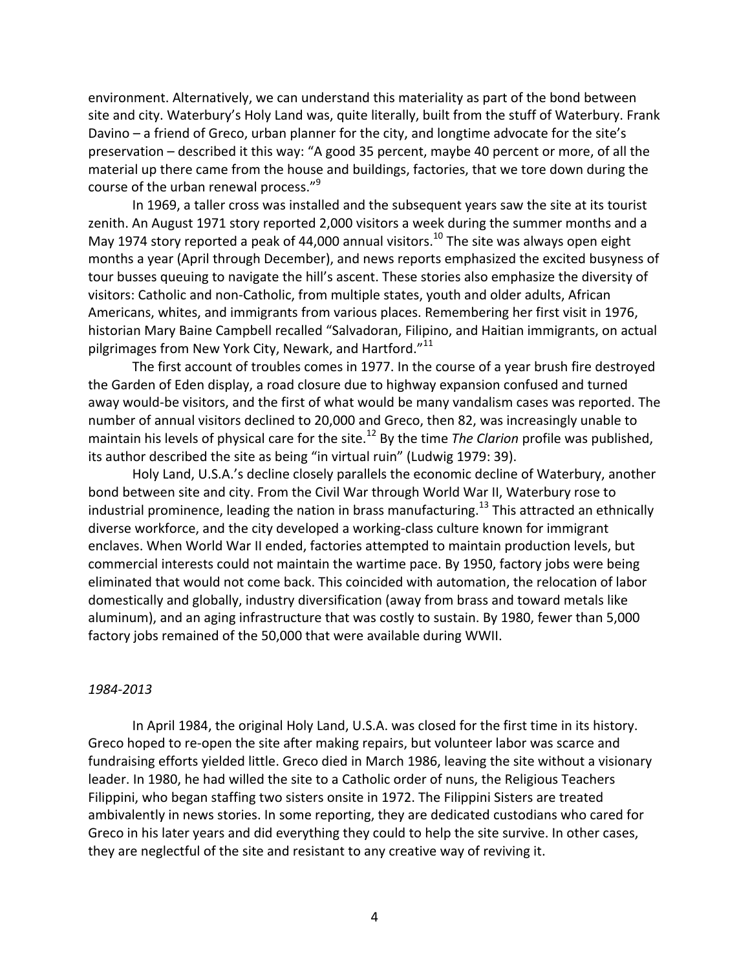environment. Alternatively, we can understand this materiality as part of the bond between site and city. Waterbury's Holy Land was, quite literally, built from the stuff of Waterbury. Frank Davino  $-$  a friend of Greco, urban planner for the city, and longtime advocate for the site's preservation – described it this way: "A good 35 percent, maybe 40 percent or more, of all the material up there came from the house and buildings, factories, that we tore down during the course of the urban renewal process."<sup>9</sup>

In 1969, a taller cross was installed and the subsequent years saw the site at its tourist zenith. An August 1971 story reported 2,000 visitors a week during the summer months and a May 1974 story reported a peak of 44,000 annual visitors.<sup>10</sup> The site was always open eight months a year (April through December), and news reports emphasized the excited busyness of tour busses queuing to navigate the hill's ascent. These stories also emphasize the diversity of visitors: Catholic and non-Catholic, from multiple states, youth and older adults, African Americans, whites, and immigrants from various places. Remembering her first visit in 1976, historian Mary Baine Campbell recalled "Salvadoran, Filipino, and Haitian immigrants, on actual pilgrimages from New York City, Newark, and Hartford." $11$ 

The first account of troubles comes in 1977. In the course of a year brush fire destroyed the Garden of Eden display, a road closure due to highway expansion confused and turned away would-be visitors, and the first of what would be many vandalism cases was reported. The number of annual visitors declined to 20,000 and Greco, then 82, was increasingly unable to maintain his levels of physical care for the site.<sup>12</sup> By the time *The Clarion* profile was published, its author described the site as being "in virtual ruin" (Ludwig 1979: 39).

Holy Land, U.S.A.'s decline closely parallels the economic decline of Waterbury, another bond between site and city. From the Civil War through World War II, Waterbury rose to industrial prominence, leading the nation in brass manufacturing.<sup>13</sup> This attracted an ethnically diverse workforce, and the city developed a working-class culture known for immigrant enclaves. When World War II ended, factories attempted to maintain production levels, but commercial interests could not maintain the wartime pace. By 1950, factory jobs were being eliminated that would not come back. This coincided with automation, the relocation of labor domestically and globally, industry diversification (away from brass and toward metals like aluminum), and an aging infrastructure that was costly to sustain. By 1980, fewer than 5,000 factory jobs remained of the 50,000 that were available during WWII.

### *1984-2013*

In April 1984, the original Holy Land, U.S.A. was closed for the first time in its history. Greco hoped to re-open the site after making repairs, but volunteer labor was scarce and fundraising efforts yielded little. Greco died in March 1986, leaving the site without a visionary leader. In 1980, he had willed the site to a Catholic order of nuns, the Religious Teachers Filippini, who began staffing two sisters onsite in 1972. The Filippini Sisters are treated ambivalently in news stories. In some reporting, they are dedicated custodians who cared for Greco in his later years and did everything they could to help the site survive. In other cases, they are neglectful of the site and resistant to any creative way of reviving it.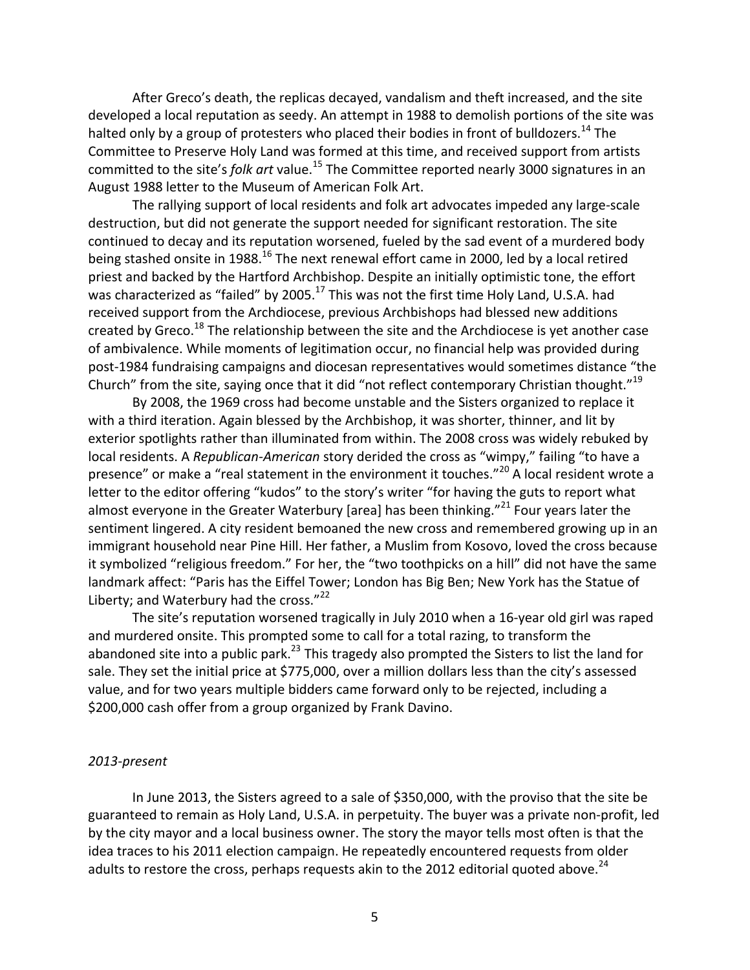After Greco's death, the replicas decayed, vandalism and theft increased, and the site developed a local reputation as seedy. An attempt in 1988 to demolish portions of the site was halted only by a group of protesters who placed their bodies in front of bulldozers.  $^{14}$  The Committee to Preserve Holy Land was formed at this time, and received support from artists committed to the site's *folk art* value.<sup>15</sup> The Committee reported nearly 3000 signatures in an August 1988 letter to the Museum of American Folk Art.

The rallying support of local residents and folk art advocates impeded any large-scale destruction, but did not generate the support needed for significant restoration. The site continued to decay and its reputation worsened, fueled by the sad event of a murdered body being stashed onsite in 1988.<sup>16</sup> The next renewal effort came in 2000, led by a local retired priest and backed by the Hartford Archbishop. Despite an initially optimistic tone, the effort was characterized as "failed" by 2005.<sup>17</sup> This was not the first time Holy Land, U.S.A. had received support from the Archdiocese, previous Archbishops had blessed new additions created by Greco.<sup>18</sup> The relationship between the site and the Archdiocese is yet another case of ambivalence. While moments of legitimation occur, no financial help was provided during post-1984 fundraising campaigns and diocesan representatives would sometimes distance "the Church" from the site, saying once that it did "not reflect contemporary Christian thought."<sup>19</sup>

By 2008, the 1969 cross had become unstable and the Sisters organized to replace it with a third iteration. Again blessed by the Archbishop, it was shorter, thinner, and lit by exterior spotlights rather than illuminated from within. The 2008 cross was widely rebuked by local residents. A *Republican-American* story derided the cross as "wimpy," failing "to have a presence" or make a "real statement in the environment it touches."<sup>20</sup> A local resident wrote a letter to the editor offering "kudos" to the story's writer "for having the guts to report what almost everyone in the Greater Waterbury [area] has been thinking."<sup>21</sup> Four years later the sentiment lingered. A city resident bemoaned the new cross and remembered growing up in an immigrant household near Pine Hill. Her father, a Muslim from Kosovo, loved the cross because it symbolized "religious freedom." For her, the "two toothpicks on a hill" did not have the same landmark affect: "Paris has the Eiffel Tower; London has Big Ben; New York has the Statue of Liberty; and Waterbury had the cross."<sup>22</sup>

The site's reputation worsened tragically in July 2010 when a 16-year old girl was raped and murdered onsite. This prompted some to call for a total razing, to transform the abandoned site into a public park.<sup>23</sup> This tragedy also prompted the Sisters to list the land for sale. They set the initial price at \$775,000, over a million dollars less than the city's assessed value, and for two years multiple bidders came forward only to be rejected, including a \$200,000 cash offer from a group organized by Frank Davino.

## *2013-present*

In June 2013, the Sisters agreed to a sale of \$350,000, with the proviso that the site be guaranteed to remain as Holy Land, U.S.A. in perpetuity. The buyer was a private non-profit, led by the city mayor and a local business owner. The story the mayor tells most often is that the idea traces to his 2011 election campaign. He repeatedly encountered requests from older adults to restore the cross, perhaps requests akin to the 2012 editorial quoted above.<sup>24</sup>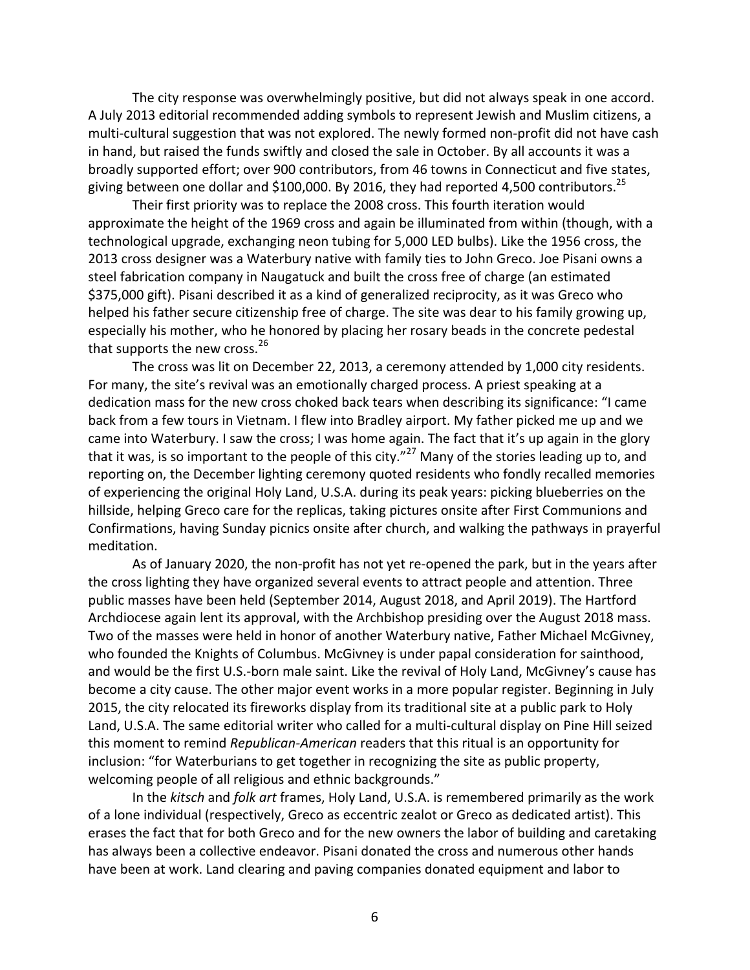The city response was overwhelmingly positive, but did not always speak in one accord. A July 2013 editorial recommended adding symbols to represent Jewish and Muslim citizens, a multi-cultural suggestion that was not explored. The newly formed non-profit did not have cash in hand, but raised the funds swiftly and closed the sale in October. By all accounts it was a broadly supported effort; over 900 contributors, from 46 towns in Connecticut and five states, giving between one dollar and \$100,000. By 2016, they had reported 4,500 contributors.<sup>25</sup>

Their first priority was to replace the 2008 cross. This fourth iteration would approximate the height of the 1969 cross and again be illuminated from within (though, with a technological upgrade, exchanging neon tubing for 5,000 LED bulbs). Like the 1956 cross, the 2013 cross designer was a Waterbury native with family ties to John Greco. Joe Pisani owns a steel fabrication company in Naugatuck and built the cross free of charge (an estimated \$375,000 gift). Pisani described it as a kind of generalized reciprocity, as it was Greco who helped his father secure citizenship free of charge. The site was dear to his family growing up, especially his mother, who he honored by placing her rosary beads in the concrete pedestal that supports the new cross. $26$ 

The cross was lit on December 22, 2013, a ceremony attended by 1,000 city residents. For many, the site's revival was an emotionally charged process. A priest speaking at a dedication mass for the new cross choked back tears when describing its significance: "I came back from a few tours in Vietnam. I flew into Bradley airport. My father picked me up and we came into Waterbury. I saw the cross; I was home again. The fact that it's up again in the glory that it was, is so important to the people of this city."<sup>27</sup> Many of the stories leading up to, and reporting on, the December lighting ceremony quoted residents who fondly recalled memories of experiencing the original Holy Land, U.S.A. during its peak years: picking blueberries on the hillside, helping Greco care for the replicas, taking pictures onsite after First Communions and Confirmations, having Sunday picnics onsite after church, and walking the pathways in prayerful meditation.

As of January 2020, the non-profit has not yet re-opened the park, but in the years after the cross lighting they have organized several events to attract people and attention. Three public masses have been held (September 2014, August 2018, and April 2019). The Hartford Archdiocese again lent its approval, with the Archbishop presiding over the August 2018 mass. Two of the masses were held in honor of another Waterbury native, Father Michael McGivney, who founded the Knights of Columbus. McGivney is under papal consideration for sainthood, and would be the first U.S.-born male saint. Like the revival of Holy Land, McGivney's cause has become a city cause. The other major event works in a more popular register. Beginning in July 2015, the city relocated its fireworks display from its traditional site at a public park to Holy Land, U.S.A. The same editorial writer who called for a multi-cultural display on Pine Hill seized this moment to remind *Republican-American* readers that this ritual is an opportunity for inclusion: "for Waterburians to get together in recognizing the site as public property, welcoming people of all religious and ethnic backgrounds."

In the *kitsch* and *folk art* frames, Holy Land, U.S.A. is remembered primarily as the work of a lone individual (respectively, Greco as eccentric zealot or Greco as dedicated artist). This erases the fact that for both Greco and for the new owners the labor of building and caretaking has always been a collective endeavor. Pisani donated the cross and numerous other hands have been at work. Land clearing and paving companies donated equipment and labor to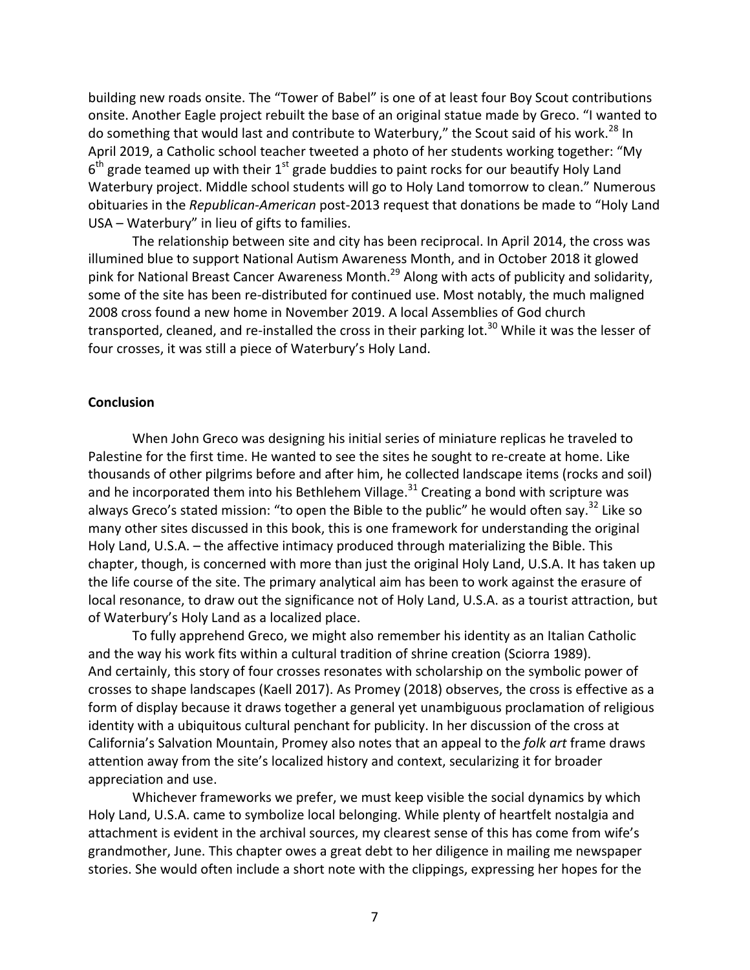building new roads onsite. The "Tower of Babel" is one of at least four Boy Scout contributions onsite. Another Eagle project rebuilt the base of an original statue made by Greco. "I wanted to do something that would last and contribute to Waterbury," the Scout said of his work.<sup>28</sup> In April 2019, a Catholic school teacher tweeted a photo of her students working together: "My  $6<sup>th</sup>$  grade teamed up with their 1<sup>st</sup> grade buddies to paint rocks for our beautify Holy Land Waterbury project. Middle school students will go to Holy Land tomorrow to clean." Numerous obituaries in the *Republican-American* post-2013 request that donations be made to "Holy Land USA – Waterbury" in lieu of gifts to families.

The relationship between site and city has been reciprocal. In April 2014, the cross was illumined blue to support National Autism Awareness Month, and in October 2018 it glowed pink for National Breast Cancer Awareness Month.<sup>29</sup> Along with acts of publicity and solidarity, some of the site has been re-distributed for continued use. Most notably, the much maligned 2008 cross found a new home in November 2019. A local Assemblies of God church transported, cleaned, and re-installed the cross in their parking  $\text{lot.}^{30}$  While it was the lesser of four crosses, it was still a piece of Waterbury's Holy Land.

## **Conclusion**

When John Greco was designing his initial series of miniature replicas he traveled to Palestine for the first time. He wanted to see the sites he sought to re-create at home. Like thousands of other pilgrims before and after him, he collected landscape items (rocks and soil) and he incorporated them into his Bethlehem Village. $31$  Creating a bond with scripture was always Greco's stated mission: "to open the Bible to the public" he would often say.<sup>32</sup> Like so many other sites discussed in this book, this is one framework for understanding the original Holy Land, U.S.A. - the affective intimacy produced through materializing the Bible. This chapter, though, is concerned with more than just the original Holy Land, U.S.A. It has taken up the life course of the site. The primary analytical aim has been to work against the erasure of local resonance, to draw out the significance not of Holy Land, U.S.A. as a tourist attraction, but of Waterbury's Holy Land as a localized place.

To fully apprehend Greco, we might also remember his identity as an Italian Catholic and the way his work fits within a cultural tradition of shrine creation (Sciorra 1989). And certainly, this story of four crosses resonates with scholarship on the symbolic power of crosses to shape landscapes (Kaell 2017). As Promey (2018) observes, the cross is effective as a form of display because it draws together a general yet unambiguous proclamation of religious identity with a ubiquitous cultural penchant for publicity. In her discussion of the cross at California's Salvation Mountain, Promey also notes that an appeal to the *folk art* frame draws attention away from the site's localized history and context, secularizing it for broader appreciation and use.

Whichever frameworks we prefer, we must keep visible the social dynamics by which Holy Land, U.S.A. came to symbolize local belonging. While plenty of heartfelt nostalgia and attachment is evident in the archival sources, my clearest sense of this has come from wife's grandmother, June. This chapter owes a great debt to her diligence in mailing me newspaper stories. She would often include a short note with the clippings, expressing her hopes for the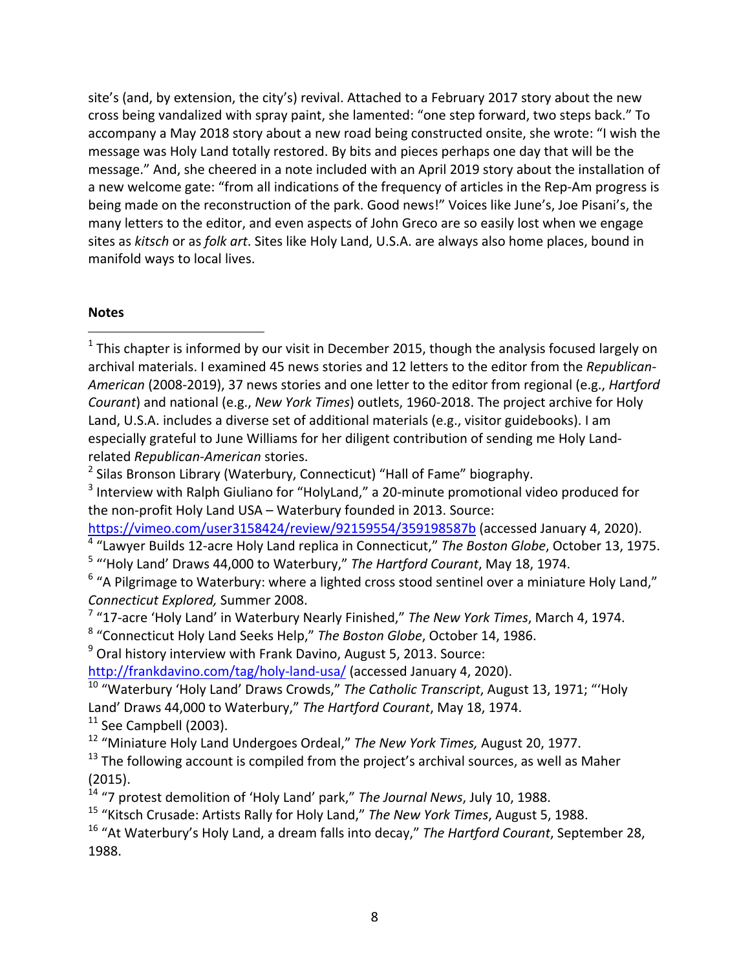site's (and, by extension, the city's) revival. Attached to a February 2017 story about the new cross being vandalized with spray paint, she lamented: "one step forward, two steps back." To accompany a May 2018 story about a new road being constructed onsite, she wrote: "I wish the message was Holy Land totally restored. By bits and pieces perhaps one day that will be the message." And, she cheered in a note included with an April 2019 story about the installation of a new welcome gate: "from all indications of the frequency of articles in the Rep-Am progress is being made on the reconstruction of the park. Good news!" Voices like June's, Joe Pisani's, the many letters to the editor, and even aspects of John Greco are so easily lost when we engage sites as *kitsch* or as *folk art*. Sites like Holy Land, U.S.A. are always also home places, bound in manifold ways to local lives.

# **Notes**

 

<sup>4</sup> "Lawyer Builds 12-acre Holy Land replica in Connecticut," The Boston Globe, October 13, 1975. <sup>5</sup> "'Holy Land' Draws 44,000 to Waterbury," The Hartford Courant, May 18, 1974.

- <sup>7</sup> "17-acre 'Holy Land' in Waterbury Nearly Finished," The New York Times, March 4, 1974.
- <sup>8</sup> "Connecticut Holy Land Seeks Help," The Boston Globe, October 14, 1986.
- $9$  Oral history interview with Frank Davino, August 5, 2013. Source:

http://frankdavino.com/tag/holy-land-usa/ (accessed January 4, 2020).

 $11$  See Campbell (2003).

<sup>12</sup> "Miniature Holy Land Undergoes Ordeal," The New York Times, August 20, 1977.

 $1$  This chapter is informed by our visit in December 2015, though the analysis focused largely on archival materials. I examined 45 news stories and 12 letters to the editor from the *Republican-American* (2008-2019), 37 news stories and one letter to the editor from regional (e.g., *Hartford Courant*) and national (e.g., *New York Times*) outlets, 1960-2018. The project archive for Holy Land, U.S.A. includes a diverse set of additional materials (e.g., visitor guidebooks). I am especially grateful to June Williams for her diligent contribution of sending me Holy Landrelated *Republican-American* stories.

 $2$  Silas Bronson Library (Waterbury, Connecticut) "Hall of Fame" biography.

 $3$  Interview with Ralph Giuliano for "HolyLand," a 20-minute promotional video produced for the non-profit Holy Land USA – Waterbury founded in 2013. Source:

https://vimeo.com/user3158424/review/92159554/359198587b (accessed January 4, 2020).

 $6$  "A Pilgrimage to Waterbury: where a lighted cross stood sentinel over a miniature Holy Land," *Connecticut Explored,* Summer 2008. 

<sup>&</sup>lt;sup>10</sup> "Waterbury 'Holy Land' Draws Crowds," The Catholic Transcript, August 13, 1971; "'Holy Land' Draws 44,000 to Waterbury," The Hartford Courant, May 18, 1974.

 $13$  The following account is compiled from the project's archival sources, as well as Maher (2015).

<sup>&</sup>lt;sup>14</sup> "7 protest demolition of 'Holy Land' park," The Journal News, July 10, 1988.

<sup>&</sup>lt;sup>15</sup> "Kitsch Crusade: Artists Rally for Holy Land," The New York Times, August 5, 1988.

<sup>&</sup>lt;sup>16</sup> "At Waterbury's Holy Land, a dream falls into decay," *The Hartford Courant*, September 28, 1988.